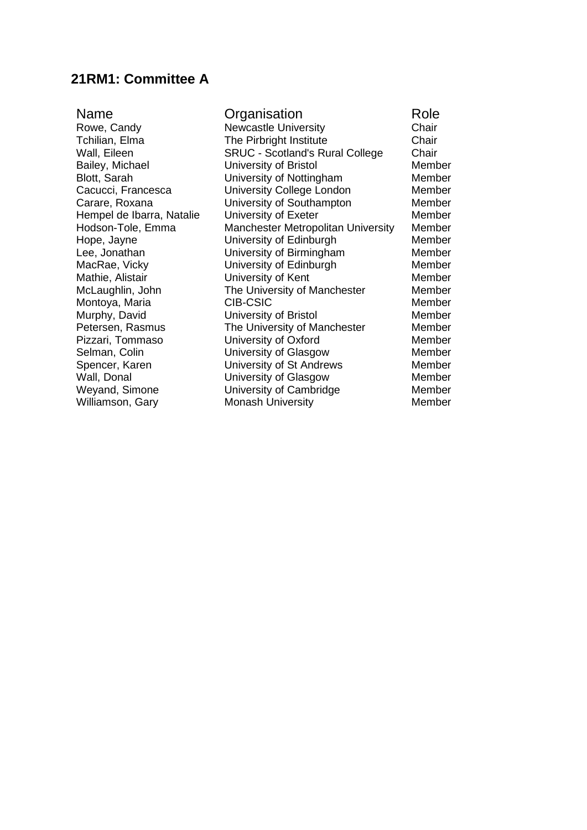## **21RM1: Committee A**

Hempel de Ibarra, Natalie Montoya, Maria Selman, Colin **Value Colin Colin Colin Colin Colin Colin** University of Glasgow<br>
University of St Andrey

Name Candy Crganisation Role<br>Rowe Candy Rewcastle University Chair Rowe, Candy **Newcastle University** Chair<br>
The Pirbright Institute Chair<br>
Chair The Pirbright Institute Wall, Eileen SRUC - Scotland's Rural College Chair Bailey, Michael **University of Bristol** Member<br>Blott, Sarah **University of Nottingham** Member Blott, Sarah **Blott, Sarah** University of Nottingham Member<br>Cacucci, Francesca **University College London** Member Cacucci, Francesca **Cacucci, Francesca** University College London<br>Carare, Roxana **Member** University of Southampton Member University of Southampton Member<br>
University of Exeter<br>
Member Hodson-Tole, Emma Manchester Metropolitan University Member Hope, Jayne University of Edinburgh Member Lee, Jonathan **Come Contract University of Birmingham** Member<br>
MacRae, Vicky **Member**<br>
Member MacRae, Vicky **MacRae, Vicky** University of Edinburgh Member<br>
Mathie. Alistair **Member** University of Kent Member University of Kent McLaughlin, John The University of Manchester Member<br>
Montova Maria CIB-CSIC Murphy, David University of Bristol Member Petersen, Rasmus The University of Manchester Member<br>Pizzari, Tommaso Diniversity of Oxford Member Pizzari, Tommaso **Bilanda Contracts** University of Oxford **Member**<br>
Selman, Colin **Nember** University of Glasgow Member Spencer, Karen **Spencer, Karen Supersy Spencer, Karen** University of St Andrews Member<br>
Wall, Donal **Member** University of Glasgow University of Glasgow Member Weyand, Simone **University of Cambridge** Member<br>
Williamson, Gary **Monash University** Member **Monash University**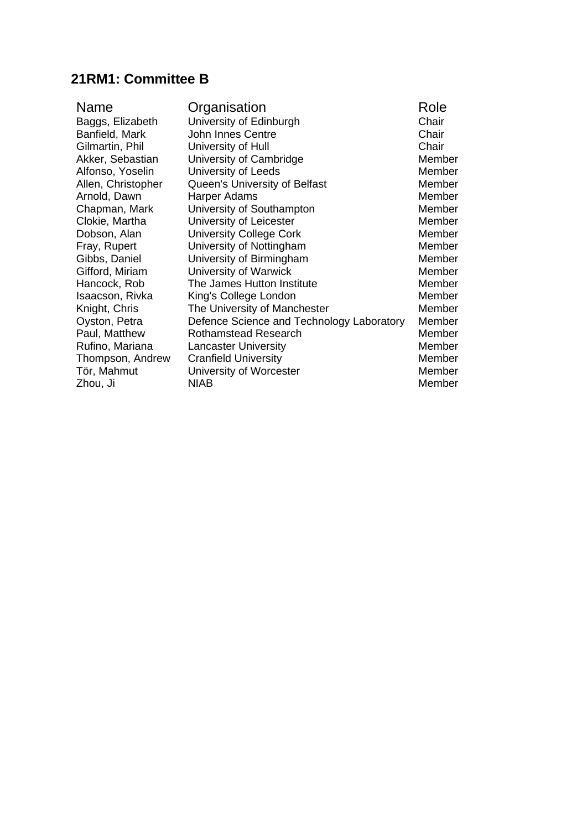# **21RM1: Committee B**

| Name               | Organisation                              | Role   |
|--------------------|-------------------------------------------|--------|
| Baggs, Elizabeth   | University of Edinburgh                   | Chair  |
| Banfield, Mark     | <b>John Innes Centre</b>                  | Chair  |
| Gilmartin, Phil    | University of Hull                        | Chair  |
| Akker, Sebastian   | University of Cambridge                   | Member |
| Alfonso, Yoselin   | University of Leeds                       | Member |
| Allen, Christopher | Queen's University of Belfast             | Member |
| Arnold, Dawn       | Harper Adams                              | Member |
| Chapman, Mark      | University of Southampton                 | Member |
| Clokie, Martha     | University of Leicester                   | Member |
| Dobson, Alan       | <b>University College Cork</b>            | Member |
| Fray, Rupert       | University of Nottingham                  | Member |
| Gibbs, Daniel      | University of Birmingham                  | Member |
| Gifford, Miriam    | University of Warwick                     | Member |
| Hancock, Rob       | The James Hutton Institute                | Member |
| Isaacson, Rivka    | King's College London                     | Member |
| Knight, Chris      | The University of Manchester              | Member |
| Oyston, Petra      | Defence Science and Technology Laboratory | Member |
| Paul, Matthew      | <b>Rothamstead Research</b>               | Member |
| Rufino, Mariana    | <b>Lancaster University</b>               | Member |
| Thompson, Andrew   | <b>Cranfield University</b>               | Member |
| Tör, Mahmut        | University of Worcester                   | Member |
| Zhou, Ji           | <b>NIAB</b>                               | Member |
|                    |                                           |        |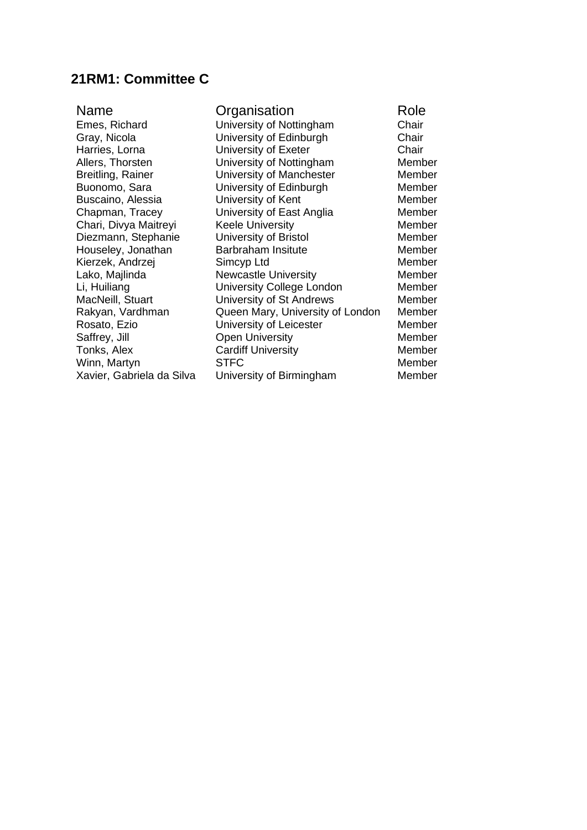# **21RM1: Committee C**

Name Crganisation Creation<br>
Emes, Richard Chair<br>
University of Nottingham Chair Emes, Richard **Emes, Richard** University of Nottingham Chair<br>
Gray, Nicola **Chair** University of Edinburgh Chair University of Edinburgh Harries, Lorna **Chair** University of Exeter **Chair** Chair<br>Allers. Thorsten **Chair** University of Nottingham Member Allers, Thorsten **University of Nottingham** Breitling, Rainer **Breitling, Rainer Member** University of Manchester **Member**<br>Buonomo, Sara **Member** University of Edinburgh Buonomo, Sara **Buonomo, Sara** University of Edinburgh Member<br>Buscaino, Alessia University of Kent Buscaino, Alessia **Buscaino, Alessia** University of Kent Member<br>
Chapman. Tracev University of East Anglia Member University of East Anglia Chari, Divya Maitreyi Keele University Member<br>
Diezmann, Stephanie University of Bristol Member Diezmann, Stephanie Houseley, Jonathan Barbraham Insitute Member Kierzek, Andrzej Simcyp Ltd<br>
Lako, Majlinda Newcastle University Member Lako, Majlinda Newcastle University Member<br>
Li, Huiliang University College London Member Li, Huiliang **Contains University College London** Member<br>
MacNeill, Stuart **Member**<br>
University of St Andrews Member University of St Andrews<br>
Oueen Mary, University of London Member Rakyan, Vardhman Queen Mary, University of London Rosato, Ezio **University of Leicester** Member Saffrey, Jill **Saffrey, Jill Community Constructs** Open University Member<br>
Tonks, Alex Cardiff University Member **Cardiff University** Winn, Martyn **STFC** STFC<br>
Xavier, Gabriela da Silva University of Birmingham Member University of Birmingham